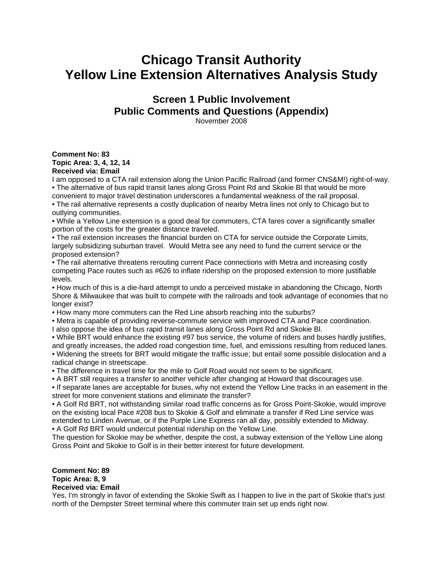## **Chicago Transit Authority Yellow Line Extension Alternatives Analysis Study**

**Screen 1 Public Involvement Public Comments and Questions (Appendix)**  November 2008

## **Comment No: 83 Topic Area: 3, 4, 12, 14 Received via: Email**

I am opposed to a CTA rail extension along the Union Pacific Railroad (and former CNS&M!) right-of-way. • The alternative of bus rapid transit lanes along Gross Point Rd and Skokie Bl that would be more convenient to major travel destination underscores a fundamental weakness of the rail proposal.

• The rail alternative represents a costly duplication of nearby Metra lines not only to Chicago but to outlying communities.

• While a Yellow Line extension is a good deal for commuters, CTA fares cover a significantly smaller portion of the costs for the greater distance traveled.

• The rail extension increases the financial burden on CTA for service outside the Corporate Limits, largely subsidizing suburban travel. Would Metra see any need to fund the current service or the proposed extension?

• The rail alternative threatens rerouting current Pace connections with Metra and increasing costly competing Pace routes such as #626 to inflate ridership on the proposed extension to more justifiable levels.

• How much of this is a die-hard attempt to undo a perceived mistake in abandoning the Chicago, North Shore & Milwaukee that was built to compete with the railroads and took advantage of economies that no longer exist?

• How many more commuters can the Red Line absorb reaching into the suburbs?

• Metra is capable of providing reverse-commute service with improved CTA and Pace coordination.

I also oppose the idea of bus rapid transit lanes along Gross Point Rd and Skokie Bl.

• While BRT would enhance the existing #97 bus service, the volume of riders and buses hardly justifies, and greatly increases, the added road congestion time, fuel, and emissions resulting from reduced lanes. • Widening the streets for BRT would mitigate the traffic issue; but entail some possible dislocation and a radical change in streetscape.

• The difference in travel time for the mile to Golf Road would not seem to be significant.

• A BRT still requires a transfer to another vehicle after changing at Howard that discourages use.

• If separate lanes are acceptable for buses, why not extend the Yellow Line tracks in an easement in the street for more convenient stations and eliminate the transfer?

• A Golf Rd BRT, not withstanding similar road traffic concerns as for Gross Point-Skokie, would improve on the existing local Pace #208 bus to Skokie & Golf and eliminate a transfer if Red Line service was extended to Linden Avenue, or if the Purple Line Express ran all day, possibly extended to Midway. • A Golf Rd BRT would undercut potential ridership on the Yellow Line.

The question for Skokie may be whether, despite the cost, a subway extension of the Yellow Line along Gross Point and Skokie to Golf is in their better interest for future development.

## **Comment No: 89 Topic Area: 8, 9 Received via: Email**

Yes, I'm strongly in favor of extending the Skokie Swift as I happen to live in the part of Skokie that's just north of the Dempster Street terminal where this commuter train set up ends right now.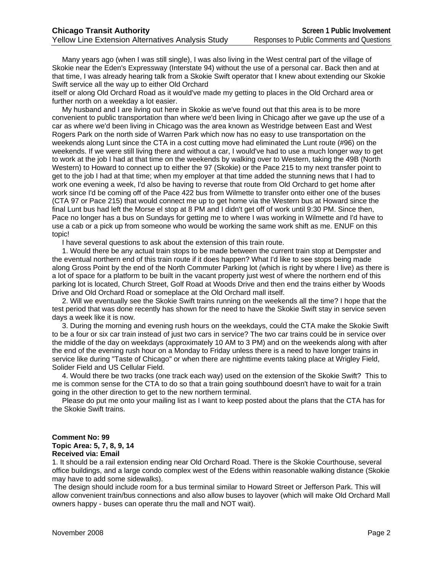Many years ago (when I was still single), I was also living in the West central part of the village of Skokie near the Eden's Expressway (Interstate 94) without the use of a personal car. Back then and at that time, I was already hearing talk from a Skokie Swift operator that I knew about extending our Skokie Swift service all the way up to either Old Orchard

itself or along Old Orchard Road as it would've made my getting to places in the Old Orchard area or further north on a weekday a lot easier.

 My husband and I are living out here in Skokie as we've found out that this area is to be more convenient to public transportation than where we'd been living in Chicago after we gave up the use of a car as where we'd been living in Chicago was the area known as Westridge between East and West Rogers Park on the north side of Warren Park which now has no easy to use transportation on the weekends along Lunt since the CTA in a cost cutting move had eliminated the Lunt route (#96) on the weekends. If we were still living there and without a car, I would've had to use a much longer way to get to work at the job I had at that time on the weekends by walking over to Western, taking the 49B (North Western) to Howard to connect up to either the 97 (Skokie) or the Pace 215 to my next transfer point to get to the job I had at that time; when my employer at that time added the stunning news that I had to work one evening a week, I'd also be having to reverse that route from Old Orchard to get home after work since I'd be coming off of the Pace 422 bus from Wilmette to transfer onto either one of the buses (CTA 97 or Pace 215) that would connect me up to get home via the Western bus at Howard since the final Lunt bus had left the Morse el stop at 8 PM and I didn't get off of work until 9:30 PM. Since then, Pace no longer has a bus on Sundays for getting me to where I was working in Wilmette and I'd have to use a cab or a pick up from someone who would be working the same work shift as me. ENUF on this topic!

I have several questions to ask about the extension of this train route.

 1. Would there be any actual train stops to be made between the current train stop at Dempster and the eventual northern end of this train route if it does happen? What I'd like to see stops being made along Gross Point by the end of the North Commuter Parking lot (which is right by where I live) as there is a lot of space for a platform to be built in the vacant property just west of where the northern end of this parking lot is located, Church Street, Golf Road at Woods Drive and then end the trains either by Woods Drive and Old Orchard Road or someplace at the Old Orchard mall itself.

 2. Will we eventually see the Skokie Swift trains running on the weekends all the time? I hope that the test period that was done recently has shown for the need to have the Skokie Swift stay in service seven days a week like it is now.

 3. During the morning and evening rush hours on the weekdays, could the CTA make the Skokie Swift to be a four or six car train instead of just two cars in service? The two car trains could be in service over the middle of the day on weekdays (approximately 10 AM to 3 PM) and on the weekends along with after the end of the evening rush hour on a Monday to Friday unless there is a need to have longer trains in service like during "Taste of Chicago" or when there are nighttime events taking place at Wrigley Field, Solider Field and US Cellular Field.

 4. Would there be two tracks (one track each way) used on the extension of the Skokie Swift? This to me is common sense for the CTA to do so that a train going southbound doesn't have to wait for a train going in the other direction to get to the new northern terminal.

 Please do put me onto your mailing list as I want to keep posted about the plans that the CTA has for the Skokie Swift trains.

## **Comment No: 99 Topic Area: 5, 7, 8, 9, 14 Received via: Email**

1. It should be a rail extension ending near Old Orchard Road. There is the Skokie Courthouse, several office buildings, and a large condo complex west of the Edens within reasonable walking distance (Skokie may have to add some sidewalks).

 The design should include room for a bus terminal similar to Howard Street or Jefferson Park. This will allow convenient train/bus connections and also allow buses to layover (which will make Old Orchard Mall owners happy - buses can operate thru the mall and NOT wait).